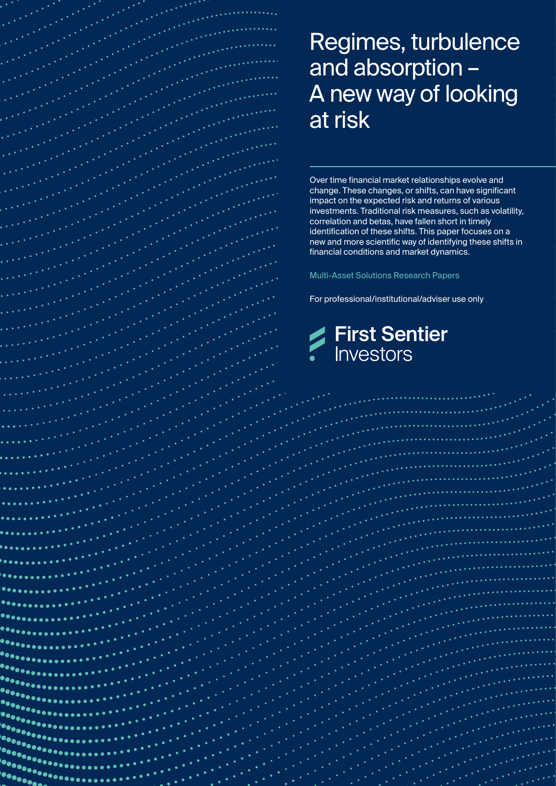# Regimes, turbulence and absorption – A new way of looking at risk

 $\bullet \bullet \bullet \bullet \bullet$ 

an Marayan<br>An Marayan

artill<br>Settinggaren 

> Over time financial market relationships evolve and change. These changes, or shifts, can have significant impact on the expected risk and returns of various investments. Traditional risk measures, such as volatility, correlation and betas, have fallen short in timely identification of these shifts. This paper focuses on a new and more scientific way of identifying these shifts in financial conditions and market dynamics.

Multi-Asset Solutions Research Papers

For professional/institutional/adviser use only



aanse til 1970.<br>Samerikalist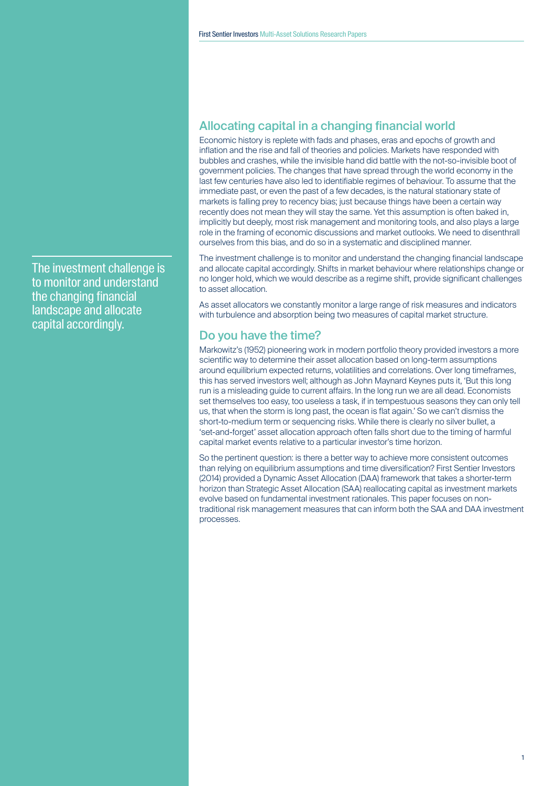# The investment challenge is to monitor and understand the changing financial landscape and allocate capital accordingly.

# Allocating capital in a changing financial world

Economic history is replete with fads and phases, eras and epochs of growth and inflation and the rise and fall of theories and policies. Markets have responded with bubbles and crashes, while the invisible hand did battle with the not-so-invisible boot of government policies. The changes that have spread through the world economy in the last few centuries have also led to identifiable regimes of behaviour. To assume that the immediate past, or even the past of a few decades, is the natural stationary state of markets is falling prey to recency bias; just because things have been a certain way recently does not mean they will stay the same. Yet this assumption is often baked in, implicitly but deeply, most risk management and monitoring tools, and also plays a large role in the framing of economic discussions and market outlooks. We need to disenthrall ourselves from this bias, and do so in a systematic and disciplined manner.

The investment challenge is to monitor and understand the changing financial landscape and allocate capital accordingly. Shifts in market behaviour where relationships change or no longer hold, which we would describe as a regime shift, provide significant challenges to asset allocation.

As asset allocators we constantly monitor a large range of risk measures and indicators with turbulence and absorption being two measures of capital market structure.

### Do you have the time?

Markowitz's (1952) pioneering work in modern portfolio theory provided investors a more scientific way to determine their asset allocation based on long-term assumptions around equilibrium expected returns, volatilities and correlations. Over long timeframes, this has served investors well; although as John Maynard Keynes puts it, 'But this long run is a misleading guide to current affairs. In the long run we are all dead. Economists set themselves too easy, too useless a task, if in tempestuous seasons they can only tell us, that when the storm is long past, the ocean is flat again.' So we can't dismiss the short-to-medium term or sequencing risks. While there is clearly no silver bullet, a 'set-and-forget' asset allocation approach often falls short due to the timing of harmful capital market events relative to a particular investor's time horizon.

So the pertinent question: is there a better way to achieve more consistent outcomes than relying on equilibrium assumptions and time diversification? First Sentier Investors (2014) provided a Dynamic Asset Allocation (DAA) framework that takes a shorter-term horizon than Strategic Asset Allocation (SAA) reallocating capital as investment markets evolve based on fundamental investment rationales. This paper focuses on nontraditional risk management measures that can inform both the SAA and DAA investment processes.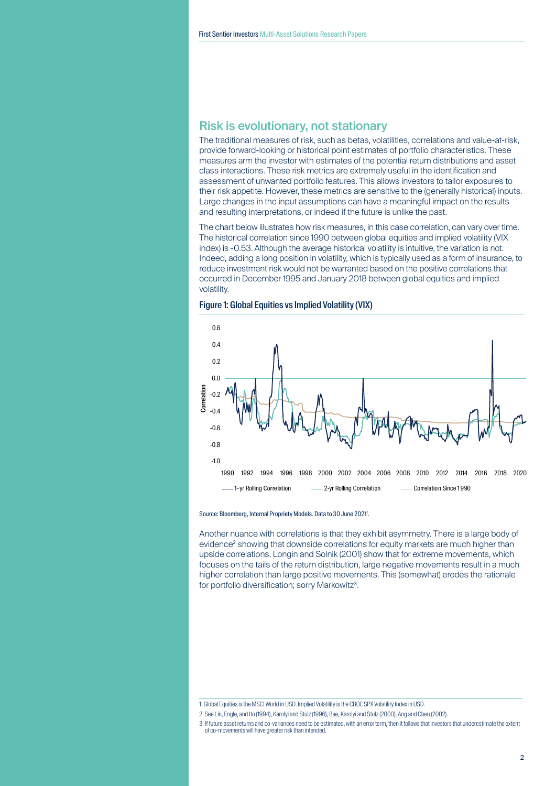### Risk is evolutionary, not stationary

The traditional measures of risk, such as betas, volatilities, correlations and value-at-risk, provide forward-looking or historical point estimates of portfolio characteristics. These measures arm the investor with estimates of the potential return distributions and asset class interactions. These risk metrics are extremely useful in the identification and assessment of unwanted portfolio features. This allows investors to tailor exposures to their risk appetite. However, these metrics are sensitive to the (generally historical) inputs. Large changes in the input assumptions can have a meaningful impact on the results and resulting interpretations, or indeed if the future is unlike the past.

The chart below illustrates how risk measures, in this case correlation, can vary over time. The historical correlation since 1990 between global equities and implied volatility (VIX index) is -0.53. Although the average historical volatility is intuitive, the variation is not. Indeed, adding a long position in volatility, which is typically used as a form of insurance, to reduce investment risk would not be warranted based on the positive correlations that occurred in December 1995 and January 2018 between global equities and implied volatility.





#### Source: Bloomberg, Internal Propriety Models. Data to 30 June 2021<sup>1</sup>.

Another nuance with correlations is that they exhibit asymmetry. There is a large body of evidence<sup>2</sup> showing that downside correlations for equity markets are much higher than upside correlations. Longin and Solnik (2001) show that for extreme movements, which focuses on the tails of the return distribution, large negative movements result in a much higher correlation than large positive movements. This (somewhat) erodes the rationale for portfolio diversification; sorry Markowitz<sup>3</sup>.

<sup>1.</sup> Global Equities is the MSCI World in USD. Implied Volatility is the CBOE SPX Volatility Index in USD.

<sup>2.</sup> See Lin, Engle, and Ito (1994), Karolyi and Stulz (1996), Bae, Karolyi and Stulz (2000), Ang and Chen (2002).

<sup>3.</sup> If future asset returns and co-variances need to be estimated, with an error term, then it follows that investors that underestimate the extent of co-movements will have greater risk than intended.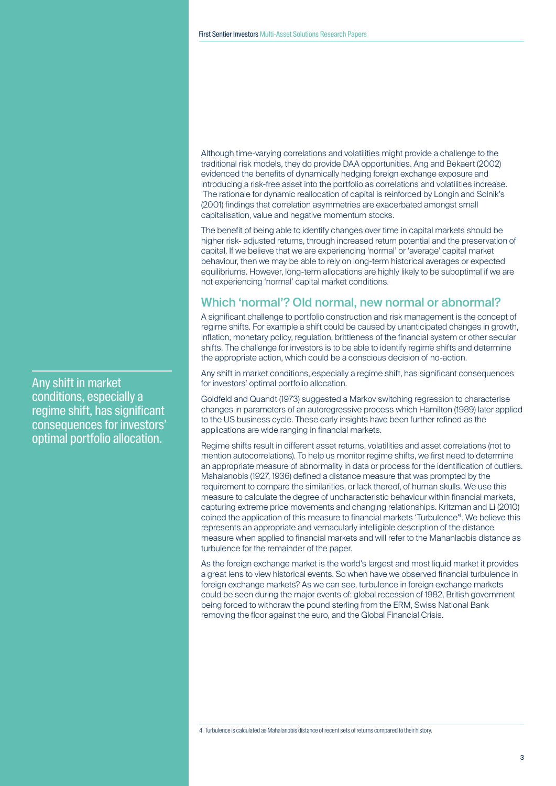Although time-varying correlations and volatilities might provide a challenge to the traditional risk models, they do provide DAA opportunities. Ang and Bekaert (2002) evidenced the benefits of dynamically hedging foreign exchange exposure and introducing a risk-free asset into the portfolio as correlations and volatilities increase. The rationale for dynamic reallocation of capital is reinforced by Longin and Solnik's (2001) findings that correlation asymmetries are exacerbated amongst small capitalisation, value and negative momentum stocks.

The benefit of being able to identify changes over time in capital markets should be higher risk- adjusted returns, through increased return potential and the preservation of capital. If we believe that we are experiencing 'normal' or 'average' capital market behaviour, then we may be able to rely on long-term historical averages or expected equilibriums. However, long-term allocations are highly likely to be suboptimal if we are not experiencing 'normal' capital market conditions.

## Which 'normal'? Old normal, new normal or abnormal?

A significant challenge to portfolio construction and risk management is the concept of regime shifts. For example a shift could be caused by unanticipated changes in growth, inflation, monetary policy, regulation, brittleness of the financial system or other secular shifts. The challenge for investors is to be able to identify regime shifts and determine the appropriate action, which could be a conscious decision of no-action.

Any shift in market conditions, especially a regime shift, has significant consequences for investors' optimal portfolio allocation.

Goldfeld and Quandt (1973) suggested a Markov switching regression to characterise changes in parameters of an autoregressive process which Hamilton (1989) later applied to the US business cycle. These early insights have been further refined as the applications are wide ranging in financial markets.

Regime shifts result in different asset returns, volatilities and asset correlations (not to mention autocorrelations). To help us monitor regime shifts, we first need to determine an appropriate measure of abnormality in data or process for the identification of outliers. Mahalanobis (1927, 1936) defined a distance measure that was prompted by the requirement to compare the similarities, or lack thereof, of human skulls. We use this measure to calculate the degree of uncharacteristic behaviour within financial markets, capturing extreme price movements and changing relationships. Kritzman and Li (2010) coined the application of this measure to financial markets 'Turbulence'4. We believe this represents an appropriate and vernacularly intelligible description of the distance measure when applied to financial markets and will refer to the Mahanlaobis distance as turbulence for the remainder of the paper.

As the foreign exchange market is the world's largest and most liquid market it provides a great lens to view historical events. So when have we observed financial turbulence in foreign exchange markets? As we can see, turbulence in foreign exchange markets could be seen during the major events of: global recession of 1982, British government being forced to withdraw the pound sterling from the ERM, Swiss National Bank removing the floor against the euro, and the Global Financial Crisis.

4. Turbulence is calculated as Mahalanobis distance of recent sets of returns compared to their history.

Any shift in market conditions, especially a regime shift, has significant consequences for investors' optimal portfolio allocation.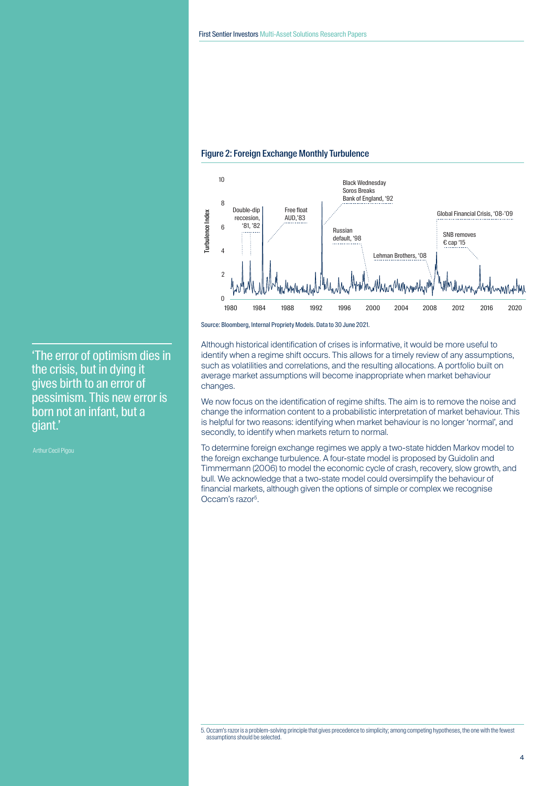

#### Figure 2: Foreign Exchange Monthly Turbulence

Source: Bloomberg, Internal Propriety Models. Data to 30 June 2021.

Although historical identification of crises is informative, it would be more useful to identify when a regime shift occurs. This allows for a timely review of any assumptions, such as volatilities and correlations, and the resulting allocations. A portfolio built on average market assumptions will become inappropriate when market behaviour changes.

We now focus on the identification of regime shifts. The aim is to remove the noise and change the information content to a probabilistic interpretation of market behaviour. This is helpful for two reasons: identifying when market behaviour is no longer 'normal', and secondly, to identify when markets return to normal.

To determine foreign exchange regimes we apply a two-state hidden Markov model to the foreign exchange turbulence. A four-state model is proposed by Guidolin and Timmermann (2006) to model the economic cycle of crash, recovery, slow growth, and bull. We acknowledge that a two-state model could oversimplify the behaviour of financial markets, although given the options of simple or complex we recognise Occam's razor5.

'The error of optimism dies in the crisis, but in dying it gives birth to an error of pessimism. This new error is born not an infant, but a giant.'

Arthur Cecil Pigou

<sup>5.</sup> Occam's razor is a problem-solving principle that gives precedence to simplicity; among competing hypotheses, the one with the fewest assumptions should be selected.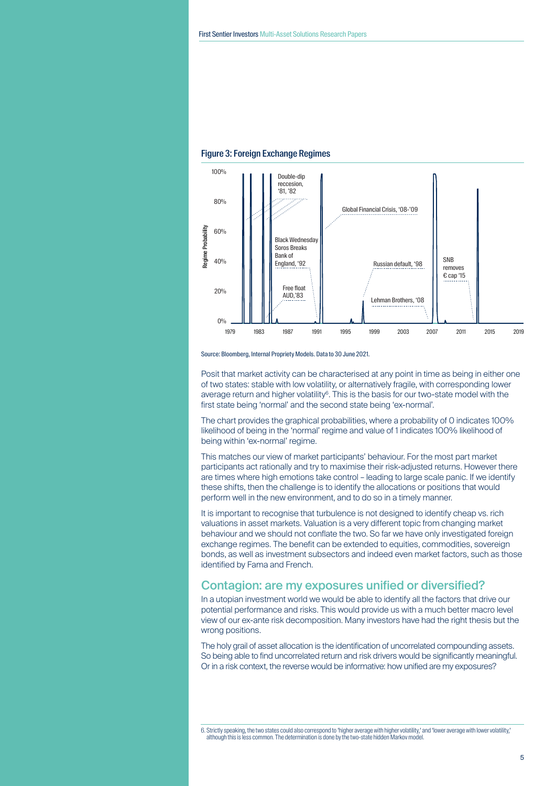

#### Figure 3: Foreign Exchange Regimes

Source: Bloomberg, Internal Propriety Models. Data to 30 June 2021.

Posit that market activity can be characterised at any point in time as being in either one of two states: stable with low volatility, or alternatively fragile, with corresponding lower average return and higher volatility<sup>6</sup>. This is the basis for our two-state model with the first state being 'normal' and the second state being 'ex-normal'.

The chart provides the graphical probabilities, where a probability of 0 indicates 100% likelihood of being in the 'normal' regime and value of 1 indicates 100% likelihood of being within 'ex-normal' regime.

This matches our view of market participants' behaviour. For the most part market participants act rationally and try to maximise their risk-adjusted returns. However there are times where high emotions take control – leading to large scale panic. If we identify these shifts, then the challenge is to identify the allocations or positions that would perform well in the new environment, and to do so in a timely manner.

It is important to recognise that turbulence is not designed to identify cheap vs. rich valuations in asset markets. Valuation is a very different topic from changing market behaviour and we should not conflate the two. So far we have only investigated foreign exchange regimes. The benefit can be extended to equities, commodities, sovereign bonds, as well as investment subsectors and indeed even market factors, such as those identified by Fama and French.

## Contagion: are my exposures unified or diversified?

In a utopian investment world we would be able to identify all the factors that drive our potential performance and risks. This would provide us with a much better macro level view of our ex-ante risk decomposition. Many investors have had the right thesis but the wrong positions.

The holy grail of asset allocation is the identification of uncorrelated compounding assets. So being able to find uncorrelated return and risk drivers would be significantly meaningful. Or in a risk context, the reverse would be informative: how unified are my exposures?

6. Strictly speaking, the two states could also correspond to 'higher average with higher volatility,' and 'lower average with lower volatility,' although this is less common. The determination is done by the two-state hidden Markov model.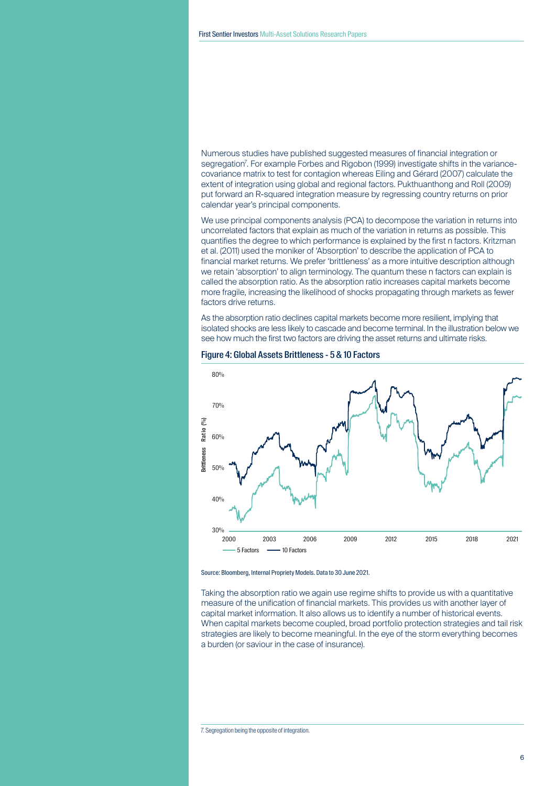Numerous studies have published suggested measures of financial integration or segregation'. For example Forbes and Rigobon (1999) investigate shifts in the variancecovariance matrix to test for contagion whereas Eiling and Gérard (2007) calculate the extent of integration using global and regional factors. Pukthuanthong and Roll (2009) put forward an R-squared integration measure by regressing country returns on prior calendar year's principal components.

We use principal components analysis (PCA) to decompose the variation in returns into uncorrelated factors that explain as much of the variation in returns as possible. This quantifies the degree to which performance is explained by the first n factors. Kritzman et al. (2011) used the moniker of 'Absorption' to describe the application of PCA to financial market returns. We prefer 'brittleness' as a more intuitive description although we retain 'absorption' to align terminology. The quantum these n factors can explain is called the absorption ratio. As the absorption ratio increases capital markets become more fragile, increasing the likelihood of shocks propagating through markets as fewer factors drive returns.

As the absorption ratio declines capital markets become more resilient, implying that isolated shocks are less likely to cascade and become terminal. In the illustration below we see how much the first two factors are driving the asset returns and ultimate risks.



#### Figure 4: Global Assets Brittleness - 5 & 10 Factors



Taking the absorption ratio we again use regime shifts to provide us with a quantitative measure of the unification of financial markets. This provides us with another layer of capital market information. It also allows us to identify a number of historical events. When capital markets become coupled, broad portfolio protection strategies and tail risk strategies are likely to become meaningful. In the eye of the storm everything becomes a burden (or saviour in the case of insurance).

7. Segregation being the opposite of integration.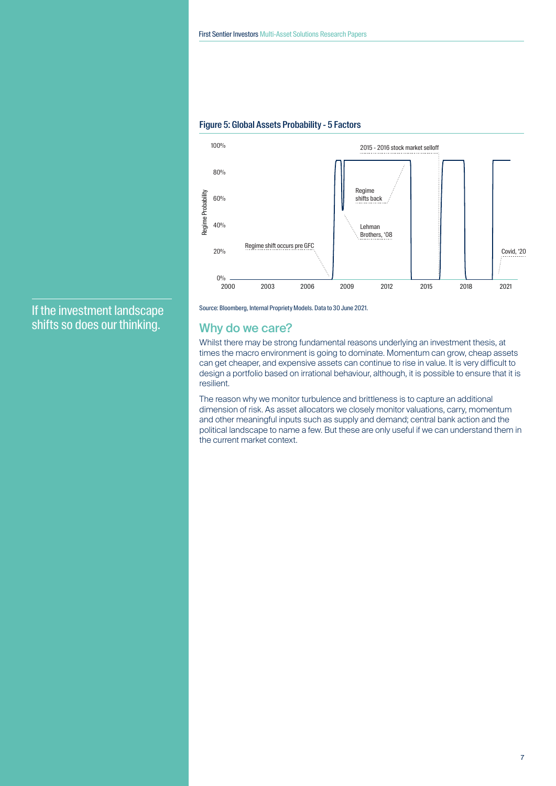

#### Figure 5: Global Assets Probability - 5 Factors

If the investment landscape shifts so does our thinking.

Source: Bloomberg, Internal Propriety Models. Data to 30 June 2021.

### Why do we care?

Whilst there may be strong fundamental reasons underlying an investment thesis, at times the macro environment is going to dominate. Momentum can grow, cheap assets can get cheaper, and expensive assets can continue to rise in value. It is very difficult to design a portfolio based on irrational behaviour, although, it is possible to ensure that it is resilient.

The reason why we monitor turbulence and brittleness is to capture an additional dimension of risk. As asset allocators we closely monitor valuations, carry, momentum and other meaningful inputs such as supply and demand; central bank action and the political landscape to name a few. But these are only useful if we can understand them in the current market context.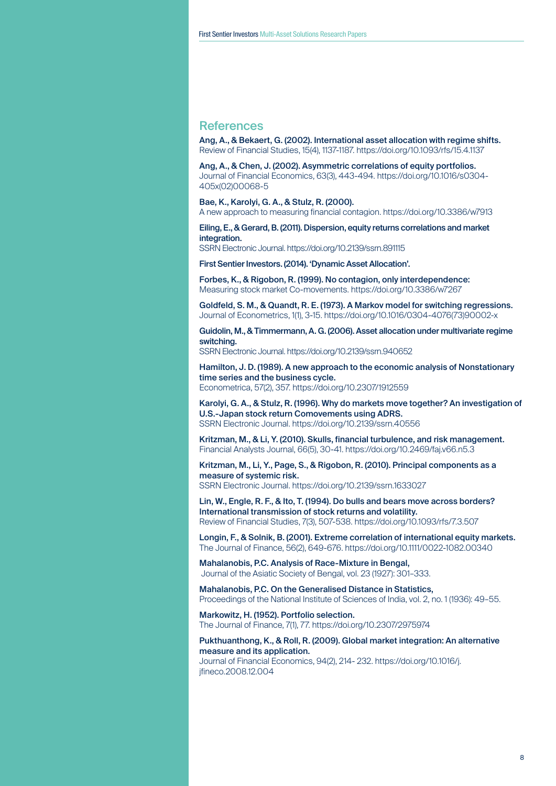### References

Ang, A., & Bekaert, G. (2002). International asset allocation with regime shifts. Review of Financial Studies, 15(4), 1137-1187. https://doi.org/10.1093/rfs/15.4.1137

Ang, A., & Chen, J. (2002). Asymmetric correlations of equity portfolios. Journal of Financial Economics, 63(3), 443-494. https://doi.org/10.1016/s0304- 405x(02)00068-5

Bae, K., Karolyi, G. A., & Stulz, R. (2000). A new approach to measuring financial contagion. https://doi.org/10.3386/w7913

Eiling, E., & Gerard, B. (2011). Dispersion, equity returns correlations and market integration.

SSRN Electronic Journal. https://doi.org/10.2139/ssrn.891115

First Sentier Investors. (2014). 'Dynamic Asset Allocation'.

Forbes, K., & Rigobon, R. (1999). No contagion, only interdependence: Measuring stock market Co-movements. https://doi.org/10.3386/w7267

Goldfeld, S. M., & Quandt, R. E. (1973). A Markov model for switching regressions. Journal of Econometrics, 1(1), 3-15. https://doi.org/10.1016/0304-4076(73)90002-x

Guidolin, M., & Timmermann, A. G. (2006). Asset allocation under multivariate regime switching.

SSRN Electronic Journal. https://doi.org/10.2139/ssrn.940652

Hamilton, J. D. (1989). A new approach to the economic analysis of Nonstationary time series and the business cycle. Econometrica, 57(2), 357. https://doi.org/10.2307/1912559

Karolyi, G. A., & Stulz, R. (1996). Why do markets move together? An investigation of U.S.-Japan stock return Comovements using ADRS. SSRN Electronic Journal. https://doi.org/10.2139/ssrn.40556

Kritzman, M., & Li, Y. (2010). Skulls, financial turbulence, and risk management. Financial Analysts Journal, 66(5), 30-41. https://doi.org/10.2469/faj.v66.n5.3

Kritzman, M., Li, Y., Page, S., & Rigobon, R. (2010). Principal components as a measure of systemic risk. SSRN Electronic Journal. https://doi.org/10.2139/ssrn.1633027

Lin, W., Engle, R. F., & Ito, T. (1994). Do bulls and bears move across borders? International transmission of stock returns and volatility. Review of Financial Studies, 7(3), 507-538. https://doi.org/10.1093/rfs/7.3.507

Longin, F., & Solnik, B. (2001). Extreme correlation of international equity markets. The Journal of Finance, 56(2), 649-676. https://doi.org/10.1111/0022-1082.00340

Mahalanobis, P.C. Analysis of Race-Mixture in Bengal, Journal of the Asiatic Society of Bengal, vol. 23 (1927): 301–333.

Mahalanobis, P.C. On the Generalised Distance in Statistics, Proceedings of the National Institute of Sciences of India, vol. 2, no. 1 (1936): 49–55.

Markowitz, H. (1952). Portfolio selection. The Journal of Finance, 7(1), 77. https://doi.org/10.2307/2975974

Pukthuanthong, K., & Roll, R. (2009). Global market integration: An alternative measure and its application. Journal of Financial Economics, 94(2), 214- 232. https://doi.org/10.1016/j. jfineco.2008.12.004